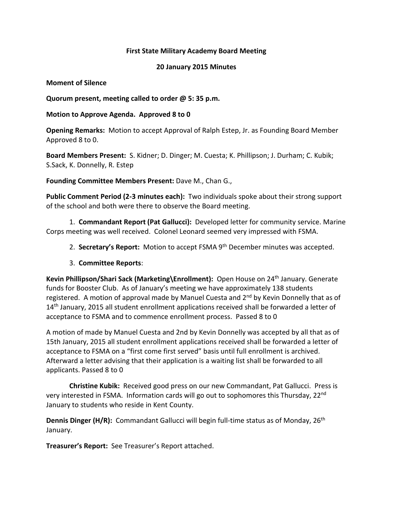## **First State Military Academy Board Meeting**

## **20 January 2015 Minutes**

## **Moment of Silence**

**Quorum present, meeting called to order @ 5: 35 p.m.**

## **Motion to Approve Agenda. Approved 8 to 0**

**Opening Remarks:** Motion to accept Approval of Ralph Estep, Jr. as Founding Board Member Approved 8 to 0.

**Board Members Present:** S. Kidner; D. Dinger; M. Cuesta; K. Phillipson; J. Durham; C. Kubik; S.Sack, K. Donnelly, R. Estep

**Founding Committee Members Present:** Dave M., Chan G.,

**Public Comment Period (2-3 minutes each):** Two individuals spoke about their strong support of the school and both were there to observe the Board meeting.

1. **Commandant Report (Pat Gallucci):** Developed letter for community service. Marine Corps meeting was well received. Colonel Leonard seemed very impressed with FSMA.

2. **Secretary's Report:** Motion to accept FSMA 9th December minutes was accepted.

3. **Committee Reports**:

**Kevin Phillipson/Shari Sack (Marketing\Enrollment):** Open House on 24th January. Generate funds for Booster Club. As of January's meeting we have approximately 138 students registered. A motion of approval made by Manuel Cuesta and 2<sup>nd</sup> by Kevin Donnelly that as of 14<sup>th</sup> January, 2015 all student enrollment applications received shall be forwarded a letter of acceptance to FSMA and to commence enrollment process. Passed 8 to 0

A motion of made by Manuel Cuesta and 2nd by Kevin Donnelly was accepted by all that as of 15th January, 2015 all student enrollment applications received shall be forwarded a letter of acceptance to FSMA on a "first come first served" basis until full enrollment is archived. Afterward a letter advising that their application is a waiting list shall be forwarded to all applicants. Passed 8 to 0

**Christine Kubik:** Received good press on our new Commandant, Pat Gallucci. Press is very interested in FSMA. Information cards will go out to sophomores this Thursday, 22<sup>nd</sup> January to students who reside in Kent County.

**Dennis Dinger (H/R):** Commandant Gallucci will begin full-time status as of Monday, 26<sup>th</sup> January.

**Treasurer's Report:** See Treasurer's Report attached.